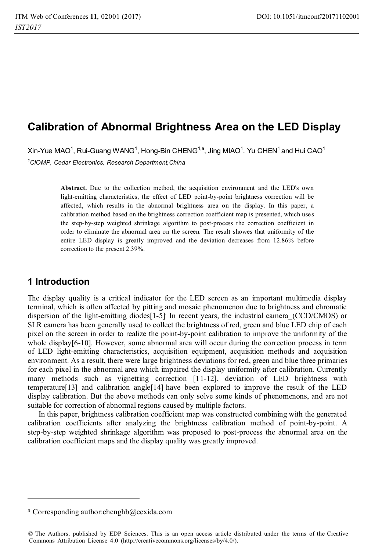# **Calibration of Abnormal Brightness Area on the LED Display**

Xin-Yue MAO $^1$ , Rui-Guang WANG $^1$ , Hong-Bin CHENG $^{1,a}$ , Jing MIAO $^1$ , Yu CHEN $^1$ and Hui CAO $^1$ *1 CIOMP, Cedar Electronics, Research Department,China* 

> **Abstract.** Due to the collection method, the acquisition environment and the LED's own light-emitting characteristics, the effect of LED point-by-point brightness correction will be affected, which results in the abnormal brightness area on the display. In this paper, a calibration method based on the brightness correction coefficient map is presented, which uses the step-by-step weighted shrinkage algorithm to post-process the correction coefficient in order to eliminate the abnormal area on the screen. The result showes that uniformity of the entire LED display is greatly improved and the deviation decreases from 12.86% before correction to the present 2.39%.

## **1 Introduction**

The display quality is a critical indicator for the LED screen as an important multimedia display terminal, which is often affected by pitting and mosaic phenomenon due to brightness and chromatic dispersion of the light-emitting diodes<sup>[1-5]</sup> In recent years, the industrial camera\_(CCD/CMOS) or SLR camera has been generally used to collect the brightness of red, green and blue LED chip of each pixel on the screen in order to realize the point-by-point calibration to improve the uniformity of the whole display[6-10]. However, some abnormal area will occur during the correction process in term of LED light-emitting characteristics, acquisition equipment, acquisition methods and acquisition environment. As a result, there were large brightness deviations for red, green and blue three primaries for each pixel in the abnormal area which impaired the display uniformity after calibration. Currently many methods such as vignetting correction [11-12], deviation of LED brightness with temperature[13] and calibration angle[14] have been explored to improve the result of the LED display calibration. But the above methods can only solve some kinds of phenomenons, and are not suitable for correction of abnormal regions caused by multiple factors.

In this paper, brightness calibration coefficient map was constructed combining with the generated calibration coefficients after analyzing the brightness calibration method of point-by-point. A step-by-step weighted shrinkage algorithm was proposed to post-process the abnormal area on the calibration coefficient maps and the display quality was greatly improved.

<u> 1989 - Johann Barn, mars ann an t-Amhain Aonaich an t-Aonaich an t-Aonaich ann an t-Aonaich ann an t-Aonaich</u>

 $a$  Corresponding author:chenghb@ccxida.com

<sup>©</sup> The Authors, published by EDP Sciences. This is an open access article distributed under the terms of the Creative Commons Attribution License 4.0 (http://creativecommons.org/licenses/by/4.0/).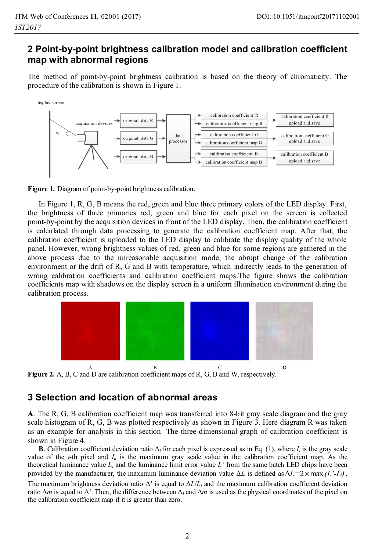## **2 Point-by-point brightness calibration model and calibration coefficient map with abnormal regions**

The method of point-by-point brightness calibration is based on the theory of chromaticity. The procedure of the calibration is shown in Figure 1.





In Figure 1, R, G, B means the red, green and blue three primary colors of the LED display. First, the brightness of three primaries red, green and blue for each pixel on the screen is collected point-by-point by the acquisition devices in front of the LED display. Then, the calibration coefficient is calculated through data processing to generate the calibration coefficient map. After that, the calibration coefficient is uploaded to the LED display to calibrate the display quality of the whole panel. However, wrong brightness values of red, green and blue for some regions are gathered in the above process due to the unreasonable acquisition mode, the abrupt change of the calibration environment or the drift of R, G and B with temperature, which indirectly leads to the generation of wrong calibration coefficients and calibration coefficient maps.The figure shows the calibration coefficients map with shadows on the display screen in a uniform illumination environment during the calibration process.



**Figure 2.** A, B, C and D are calibration coefficient maps of R, G, B and W, respectively.

## **3 Selection and location of abnormal areas**

**A**. The R, G, B calibration coefficient map was transferred into 8-bit gray scale diagram and the gray scale histogram of R, G, B was plotted respectively as shown in Figure 3. Here diagram R was taken as an example for analysis in this section. The three-dimensional graph of calibration coefficient is shown in Figure 4.

**B**. Calibration coefficient deviation ratio  $\Delta_i$  for each pixel is expressed as in Eq. (1), where  $I_i$  is the gray scale value of the *i*-th pixel and  $I_n$  is the maximum gray scale value in the calibration coefficient map. As the theoretical luminance value  $L_i$  and the luminance limit error value  $L'$  from the same batch LED chips have been provided by the manufacturer, the maximum luminance deviation value  $\Delta L$  is defined as  $\Delta L = 2 \times \max (L' - L)$ .<br>The maximum brightness deviation ratio  $\Delta'$  is equal to  $\Delta L/L$  and the maximum calibration coefficient deviation The maximum brightness deviation ratio  $\Delta'$  is equal to  $\Delta L/L_i$  and the maximum calibration coefficient deviation ratio  $\Delta m$  is equal to  $\Delta'$ . Then, the difference between  $\Delta_i$  and  $\Delta m$  is used as the physical coordinates of the pixel on the calibration coefficient man if it is greater than zero. the calibration coefficient map if it is greater than zero.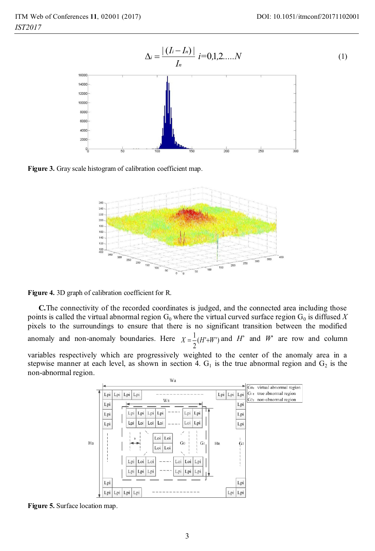

**Figure 3.** Gray scale histogram of calibration coefficient map.



**Figure 4.** 3D graph of calibration coefficient for R.

**C.**The connectivity of the recorded coordinates is judged, and the connected area including those points is called the virtual abnormal region  $G_0$  where the virtual curved surface region  $G_0$  is diffused X pixels to the surroundings to ensure that there is no significant transition between the modified anomaly and non-anomaly boundaries. Here  $X = \frac{1}{2}(H^1 + W^1)$  and *W* are row and column

variables respectively which are progressively weighted to the center of the anomaly area in a stepwise manner at each level, as shown in section 4.  $G_1$  is the true abnormal region and  $G_2$  is the non-abnormal region.



**Figure 5.** Surface location map.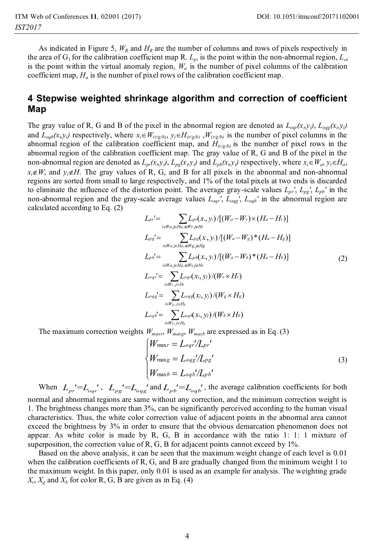As indicated in Figure 5,  $W_R$  and  $H_R$  are the number of columns and rows of pixels respectively in the area of  $G_1$  for the calibration coefficient map R.  $L_{pi}$  is the point within the non-abnormal region,  $L_{pi}$ is the point within the virtual anomaly region,  $W_a$  is the number of pixel columns of the calibration coefficient map,  $H_a$  is the number of pixel rows of the calibration coefficient map.

#### **4 Stepwise weighted shrinkage algorithm and correction of coefficient Map**

The gray value of R, G and B of the pixel in the abnormal region are denoted as  $L_{opt}(x_i, y_i)$ ,  $L_{ogg}(x_i, y_i)$  and  $L_{exp}(x_i, y_i)$  respectively, where  $x \in W_{exp}$  is  $H_{exp}(x_i, y_i)$  is the number of pixel columns in the and  $L_{\alpha\beta}(x_i, y_i)$  respectively, where  $x_i \in W_{(r/g/b)}, y_i \in H_{(r/g/b)}, W_{(r/g/b)}$  is the number of pixel columns in the abnormal region of the calibration coefficient map, and  $H_{\alpha\beta}$  is the number of pixel rows in the abnormal region of the calibration coefficient map, and  $H_{(r/g/b)}$  is the number of pixel rows in the abnormal region of the calibration coefficient map. The gray value of R, G and B of the pixel in the non-abnormal region are denoted as  $L_{pr}(x_i, y_j)$ ,  $L_{pg}(x_i, y_j)$  and  $L_{pb}(x_i, y_j)$  respectively, where  $x_i \in W_a$ ,  $y_i \in H_a$ ,  $x \notin W$  and  $y \notin H_a$ . The gravitation of **B** G and **B** for all pixels in the abnormal and non-abnormal  $\neq W$ , and  $y_i \notin H$ . The gray values of R, G, and B for all pixels in the abnormal and non-abnormal voions are sorted from small to large respectively and 1% of the total pixels at two ends is discarded regions are sorted from small to large respectively, and 1% of the total pixels at two ends is discarded to eliminate the influence of the distortion point. The average gray-scale values  $L_{pr}$ ,  $L_{pg}$ ,  $L_{pb}$ ' in the non-abnormal region and the gray-scale average values  $L_{oqr}$ <sup>'</sup>,  $L_{oqs}$ <sup>'</sup>,  $L_{oqb}$ <sup>'</sup> in the abnormal region are calculated according to Eq. (2)

$$
L_{pr} = \sum_{i \in W_{a,j \in Ha, i \in W_{r,j \in H}}} L_{pr}(x_{i}, y_{i}) / [(W_{a} - W_{r}) \times (H_{a} - H_{r})]
$$
  
\n
$$
L_{pg} = \sum_{i \in W_{a,j \in Ha, i \in W_{g,j \in H}}} L_{pg}(x_{i}, y_{i}) / [(W_{a} - W_{g})^{*} (H_{a} - H_{g})]
$$
  
\n
$$
L_{pb} = \sum_{i \in W_{a,j \in Ha, i \in W_{b,j \in H}}} L_{pb}(x_{i}, y_{i}) / [(W_{a} - W_{b})^{*} (H_{a} - H_{b})]
$$
  
\n
$$
L_{oqr} = \sum_{i \in W_{r,j \in H}} L_{oqr}(x_{i}, y_{j}) / (W_{r} \times H_{r})
$$
  
\n
$$
L_{oqs} = \sum_{i \in W_{s,j \in H_{g}}} L_{oqs}(x_{i}, y_{j}) / (W_{g} \times H_{g})
$$
  
\n
$$
L_{oqs} = \sum_{i \in W_{s,j \in H_{g}}} L_{oqs}(x_{i}, y_{j}) / (W_{b} \times H_{b})
$$

The maximum correction weights  $W_{maxr}$ ,  $W_{maxp}$ ,  $W_{maxb}$  are expressed as in Eq. (3)

$$
\begin{cases}\nW_{\text{max}} = L_{oqr}/L_{pr}' \\
W_{\text{max}} = L_{oqs}'/L_{pg}'\n\end{cases}
$$
\n
$$
(3)
$$
\n
$$
W_{\text{max}} = L_{oqs}'/L_{pb}'
$$

When  $L_{pr} = L_{oqr}$ ,  $L_{pg} = L_{oqg}$  and  $L_{pb} = L_{oqb}$ , the average calibration coefficients for both mal and abnormal regions are same without any correction, and the minimum correction weight is normal and abnormal regions are same without any correction, and the minimum correction weight is 1. The brightness changes more than 3%, can be significantly perceived according to the human visual characteristics. Thus, the white color correction value of adjacent points in the abnormal area cannot exceed the brightness by 3% in order to ensure that the obvious demarcation phenomenon does not appear. As white color is made by R, G, B in accordance with the ratio 1: 1: 1 mixture of superposition, the correction value of R, G, B for adjacent points cannot exceed by 1%.

Based on the above analysis, it can be seen that the maximum weight change of each level is 0.01 when the calibration coefficients of R, G, and B are gradually changed from the minimum weight 1 to the maximum weight. In this paper, only 0.01 is used as an example for analysis. The weighting grade  $X_r$ ,  $X_g$  and  $X_b$  for color R, G, B are given as in Eq. (4)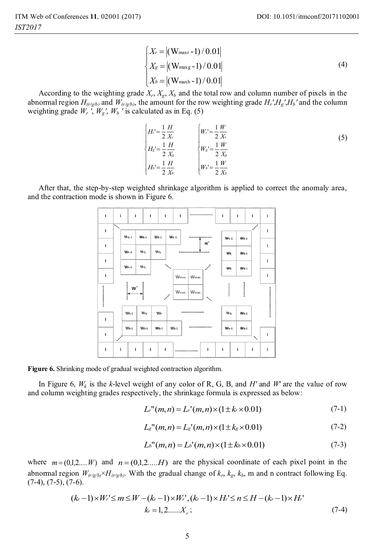$$
\begin{cases}\nX_r = |(W_{\text{maxr}} - 1)/0.01| \\
X_g = |(W_{\text{maxg}} - 1)/0.01| \\
X_b = |(W_{\text{maxb}} - 1)/0.01|\n\end{cases}
$$
\n(4)

*X* According to the weighting grade  $X_r$ ,  $X_g$ ,  $X_b$  and the total row and column number of pixels in the order of  $H$  and  $W_{\ell+\ell}$ , and  $W_{\ell+\ell}$ , the amount for the row weighting grade  $H'H'H'$ , and the column abnormal region  $H_{(r/g/b)}$  and  $W_{(r/g/b)}$ , the amount for the row weighting grade  $H_r$ <sup>'</sup>, $H_g$ <sup>'</sup>, $H_b$ ' and the column weighting grade  $W_r$ ,  $W_g$ ,  $W_b$  *'* is calculated as in Eq. (5)

$$
\begin{cases}\nH' = \frac{1}{2} \frac{H}{X_r} & \quad \left[ W_r = \frac{1}{2} \frac{W}{X_r} \right] \\
H_s' = \frac{1}{2} \frac{H}{X_s} & \quad \left[ W_s' = \frac{1}{2} \frac{W}{X_s} \right] \\
H_b' = \frac{1}{2} \frac{H}{X_b} & \quad \left[ W_b' = \frac{1}{2} \frac{W}{X_b} \right]\n\end{cases} \tag{5}
$$

After that, the step-by-step weighted shrinkage algorithm is applied to correct the anomaly area, and the contraction mode is shown in Figure 6.



**Figure 6.** Shrinking mode of gradual weighted contraction algorithm.

In Figure 6,  $W_k$  is the *k*-level weight of any color of R, G, B, and *H'* and *W'* are the value of row and column weighting grades respectively, the shrinkage formula is expressed as below:

$$
L^{n}(m,n) = L^{n}(m,n) \times (1 \pm k \times 0.01)
$$
 (7-1)

$$
L_{g}''(m,n) = L_{g}'(m,n) \times (1 \pm k_{g} \times 0.01)
$$
 (7-2)

$$
L_b''(m,n) = L_b'(m,n) \times (1 \pm k_b \times 0.01)
$$
 (7-3)

where  $m = (0,1,2,...,W)$  and  $n = (0,1,2,...,H)$  are the physical coordinate of each pixel point in the abnormal region  $W_{(r/g/b)} \times H_{(r/g/b)}$ . With the gradual change of  $k_r$ ,  $k_g$ ,  $k_b$ , m and n contract following Eq.  $(7-4)$ ,  $(7-5)$ ,  $(7-6)$ .

$$
(k-1)\times W_r' \le m \le W - (k-1)\times W_r', (k-1)\times H_r' \le n \le H - (k-1)\times H_r' k = 1, 2, \dots, X_r;
$$
 (7-4)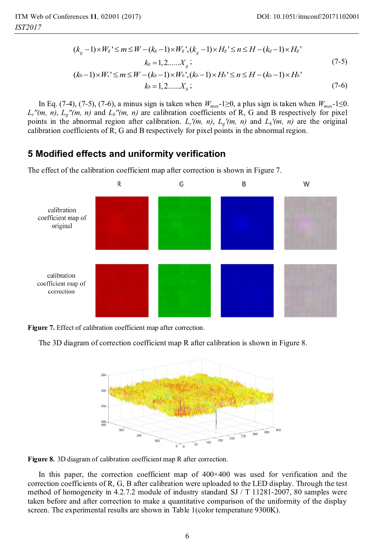$$
(k_g - 1) \times W_s' \le m \le W - (k_g - 1) \times W_s', (k_g - 1) \times H_s' \le n \le H - (k_g - 1) \times H_s' \nk_g = 1, 2, ..., X_g; (k_b - 1) \times W_s' \le m \le W - (k_b - 1) \times W_b', (k_b - 1) \times H_b' \le n \le H - (k_b - 1) \times H_b' \nk_g = 1, 2, ..., Y_g
$$
\n(7-5)

$$
k_b = 1, 2, \dots, X_b;
$$
 (7-6)

In Eq. (7-4), (7-5), (7-6), a minus sign is taken when *Wmax*-1≥0, a plus sign is taken when *Wmax*-1≤0.  $L_r''(m, n)$ ,  $L_g''(m, n)$  and  $L_b''(m, n)$  are calibration coefficients of R, G and B respectively for pixel points in the abnormal region after calibration.  $L_r'(m, n)$ ,  $L_g'(m, n)$  and  $L_b'(m, n)$  are the original calibration coefficients of R, G and B respectively for pixel points in the abnormal region.

## **5 Modified effects and uniformity verification**

The effect of the calibration coefficient map after correction is shown in Figure 7.



**Figure 7.** Effect of calibration coefficient map after correction.

The 3D diagram of correction coefficient map R after calibration is shown in Figure 8.



**Figure 8.** 3D diagram of calibration coefficient map R after correction.

In this paper, the correction coefficient map of 400×400 was used for verification and the correction coefficients of R, G, B after calibration were uploaded to the LED display. Through the test method of homogeneity in 4.2.7.2 module of industry standard SJ / T 11281-2007, 80 samples were taken before and after correction to make a quantitative comparison of the uniformity of the display screen. The experimental results are shown in Table 1(color temperature 9300K).